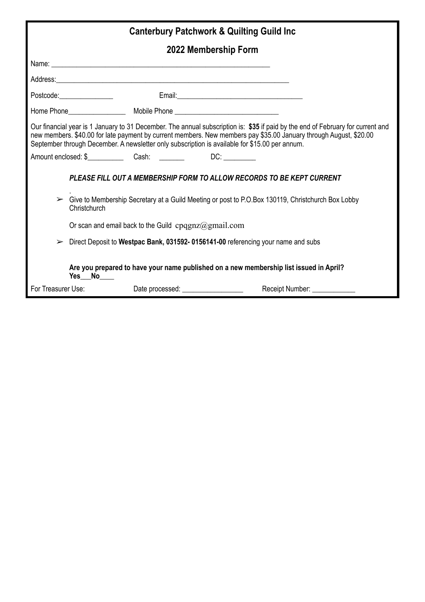| <b>Canterbury Patchwork &amp; Quilting Guild Inc.</b>                                                                                                                                                                                                                                                                                                  |                                                                                                                                                                                                                                      |                                           |  |  |
|--------------------------------------------------------------------------------------------------------------------------------------------------------------------------------------------------------------------------------------------------------------------------------------------------------------------------------------------------------|--------------------------------------------------------------------------------------------------------------------------------------------------------------------------------------------------------------------------------------|-------------------------------------------|--|--|
|                                                                                                                                                                                                                                                                                                                                                        | 2022 Membership Form                                                                                                                                                                                                                 |                                           |  |  |
|                                                                                                                                                                                                                                                                                                                                                        |                                                                                                                                                                                                                                      |                                           |  |  |
|                                                                                                                                                                                                                                                                                                                                                        | Address: <u>Address:</u> Address: Address: Address: Address: Address: Address: Address: Address: Address: Address: Address: Address: Address: Address: Address: Address: Address: Address: Address: Address: Address: Address: Addr  |                                           |  |  |
|                                                                                                                                                                                                                                                                                                                                                        | Postcode: <u>Contract Constantine Constantine Constantine Constantine Constantine Constantine Constantine Constantine Constantine Constantine Constantine Constantine Constantine Constantine Constantine Constantine Constantin</u> |                                           |  |  |
|                                                                                                                                                                                                                                                                                                                                                        |                                                                                                                                                                                                                                      |                                           |  |  |
| Our financial year is 1 January to 31 December. The annual subscription is: \$35 if paid by the end of February for current and<br>new members. \$40.00 for late payment by current members. New members pay \$35.00 January through August, \$20.00<br>September through December. A newsletter only subscription is available for \$15.00 per annum. |                                                                                                                                                                                                                                      |                                           |  |  |
|                                                                                                                                                                                                                                                                                                                                                        |                                                                                                                                                                                                                                      |                                           |  |  |
|                                                                                                                                                                                                                                                                                                                                                        | PLEASE FILL OUT A MEMBERSHIP FORM TO ALLOW RECORDS TO BE KEPT CURRENT                                                                                                                                                                |                                           |  |  |
| Give to Membership Secretary at a Guild Meeting or post to P.O.Box 130119, Christchurch Box Lobby<br>➤<br>Christchurch                                                                                                                                                                                                                                 |                                                                                                                                                                                                                                      |                                           |  |  |
|                                                                                                                                                                                                                                                                                                                                                        | Or scan and email back to the Guild $cpqgnz@gmail.com$                                                                                                                                                                               |                                           |  |  |
| Direct Deposit to Westpac Bank, 031592-0156141-00 referencing your name and subs<br>➤                                                                                                                                                                                                                                                                  |                                                                                                                                                                                                                                      |                                           |  |  |
| Are you prepared to have your name published on a new membership list issued in April?<br>Yes No                                                                                                                                                                                                                                                       |                                                                                                                                                                                                                                      |                                           |  |  |
| For Treasurer Use:                                                                                                                                                                                                                                                                                                                                     |                                                                                                                                                                                                                                      | Receipt Number: Necessary Receipt Number: |  |  |